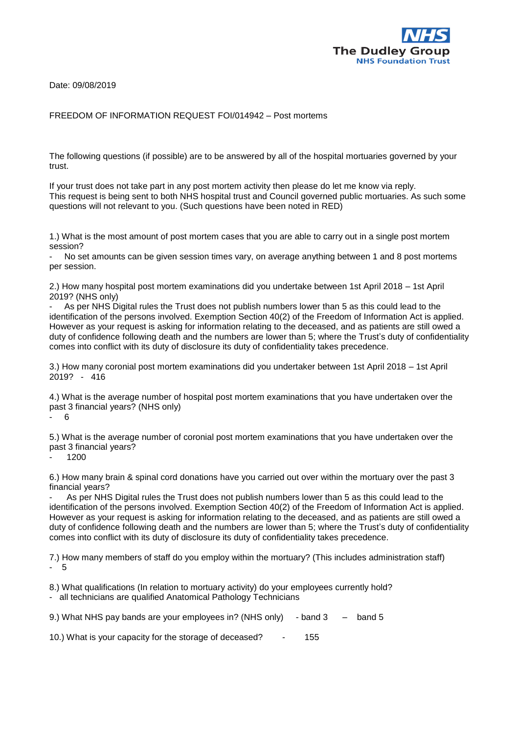

Date: 09/08/2019

## FREEDOM OF INFORMATION REQUEST FOI/014942 – Post mortems

The following questions (if possible) are to be answered by all of the hospital mortuaries governed by your trust.

If your trust does not take part in any post mortem activity then please do let me know via reply. This request is being sent to both NHS hospital trust and Council governed public mortuaries. As such some questions will not relevant to you. (Such questions have been noted in RED)

1.) What is the most amount of post mortem cases that you are able to carry out in a single post mortem session?

No set amounts can be given session times vary, on average anything between 1 and 8 post mortems per session.

2.) How many hospital post mortem examinations did you undertake between 1st April 2018 – 1st April 2019? (NHS only)

As per NHS Digital rules the Trust does not publish numbers lower than 5 as this could lead to the identification of the persons involved. Exemption Section 40(2) of the Freedom of Information Act is applied. However as your request is asking for information relating to the deceased, and as patients are still owed a duty of confidence following death and the numbers are lower than 5; where the Trust's duty of confidentiality comes into conflict with its duty of disclosure its duty of confidentiality takes precedence.

3.) How many coronial post mortem examinations did you undertaker between 1st April 2018 – 1st April 2019? - 416

4.) What is the average number of hospital post mortem examinations that you have undertaken over the past 3 financial years? (NHS only)

- 6

5.) What is the average number of coronial post mortem examinations that you have undertaken over the past 3 financial years?

- 1200

6.) How many brain & spinal cord donations have you carried out over within the mortuary over the past 3 financial years?

As per NHS Digital rules the Trust does not publish numbers lower than 5 as this could lead to the identification of the persons involved. Exemption Section 40(2) of the Freedom of Information Act is applied. However as your request is asking for information relating to the deceased, and as patients are still owed a duty of confidence following death and the numbers are lower than 5; where the Trust's duty of confidentiality comes into conflict with its duty of disclosure its duty of confidentiality takes precedence.

7.) How many members of staff do you employ within the mortuary? (This includes administration staff) - 5

8.) What qualifications (In relation to mortuary activity) do your employees currently hold?

- all technicians are qualified Anatomical Pathology Technicians

9.) What NHS pay bands are your employees in? (NHS only) - band 3 – band 5

10.) What is your capacity for the storage of deceased? - 155